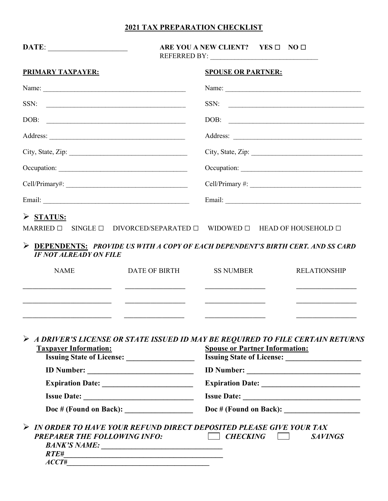#### 2021 TAX PREPARATION CHECKLIST

| <b>SPOUSE OR PARTNER:</b>                                                                                                                                                                                                                                                                                                                                                                                                                                                                 |
|-------------------------------------------------------------------------------------------------------------------------------------------------------------------------------------------------------------------------------------------------------------------------------------------------------------------------------------------------------------------------------------------------------------------------------------------------------------------------------------------|
|                                                                                                                                                                                                                                                                                                                                                                                                                                                                                           |
| SSN:<br><u> Alexandria de la contrada de la contrada de la contrada de la contrada de la contrada de la contrada de la c</u>                                                                                                                                                                                                                                                                                                                                                              |
| DOB:<br>$\begin{tabular}{lllllllllllllll} \multicolumn{2}{l}{} & \multicolumn{2}{l}{} & \multicolumn{2}{l}{} & \multicolumn{2}{l}{} & \multicolumn{2}{l}{} & \multicolumn{2}{l}{} & \multicolumn{2}{l}{} & \multicolumn{2}{l}{} & \multicolumn{2}{l}{} & \multicolumn{2}{l}{} & \multicolumn{2}{l}{} & \multicolumn{2}{l}{} & \multicolumn{2}{l}{} & \multicolumn{2}{l}{} & \multicolumn{2}{l}{} & \multicolumn{2}{l}{} & \multicolumn{2}{l}{} & \multicolumn{2}{l}{} & \multicolumn{2}{$ |
|                                                                                                                                                                                                                                                                                                                                                                                                                                                                                           |
| City, State, Zip:<br>City, State, Zip:                                                                                                                                                                                                                                                                                                                                                                                                                                                    |
|                                                                                                                                                                                                                                                                                                                                                                                                                                                                                           |
|                                                                                                                                                                                                                                                                                                                                                                                                                                                                                           |
|                                                                                                                                                                                                                                                                                                                                                                                                                                                                                           |
| MARRIED $\Box$ SINGLE $\Box$ DIVORCED/SEPARATED $\Box$ WIDOWED $\Box$ HEAD OF HOUSEHOLD $\Box$<br>$\triangleright$ DEPENDENTS: PROVIDE US WITH A COPY OF EACH DEPENDENT'S BIRTH CERT. AND SS CARD                                                                                                                                                                                                                                                                                         |
| <b>SS NUMBER</b><br>DATE OF BIRTH<br><b>RELATIONSHIP</b><br><u> 1989 - Johann Barbara, martxa alemaniar a</u>                                                                                                                                                                                                                                                                                                                                                                             |
| $\triangleright$ A DRIVER'S LICENSE OR STATE ISSUED ID MAY BE REQUIRED TO FILE CERTAIN RETURNS<br><b>Spouse or Partner Information:</b><br><b>Issuing State of License:</b><br><b>ID Number:</b>                                                                                                                                                                                                                                                                                          |
|                                                                                                                                                                                                                                                                                                                                                                                                                                                                                           |

Expiration Date: \_\_\_\_\_\_\_\_\_\_\_\_\_\_\_\_\_\_\_\_\_\_\_\_ Expiration Date: \_\_\_\_\_\_\_\_\_\_\_\_\_\_\_\_\_\_\_\_\_\_\_\_\_\_

Issue Date: \_\_\_\_\_\_\_\_\_\_\_\_\_\_\_\_\_\_\_\_\_\_\_\_\_\_\_\_\_ Issue Date: \_\_\_\_\_\_\_\_\_\_\_\_\_\_\_\_\_\_\_\_\_\_\_\_\_\_\_\_\_\_\_

Doc # (Found on Back): \_\_\_\_\_\_\_\_\_\_\_\_\_\_\_\_\_\_ Doc # (Found on Back): \_\_\_\_\_\_\_\_\_\_\_\_\_\_\_\_\_\_\_\_

|                                     | > IN ORDER TO HAVE YOUR REFUND DIRECT DEPOSITED PLEASE GIVE YOUR TAX |                 |  |                |  |
|-------------------------------------|----------------------------------------------------------------------|-----------------|--|----------------|--|
| <b>PREPARER THE FOLLOWING INFO:</b> |                                                                      | $\Box$ CHECKING |  | <i>SAVINGS</i> |  |
| <b>BANK'S NAME:</b>                 |                                                                      |                 |  |                |  |
| RTF#                                |                                                                      |                 |  |                |  |

 $\angle ACCT \overline{\mathcal{F}}$